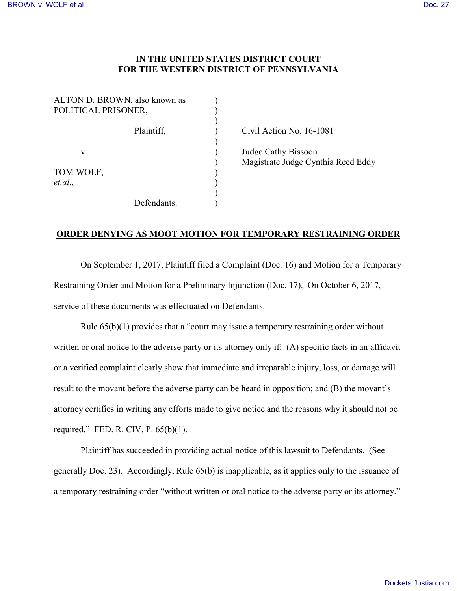## **IN THE UNITED STATES DISTRICT COURT FOR THE WESTERN DISTRICT OF PENNSYLVANIA**

| POLITICAL PRISONER,  | ALTON D. BROWN, also known as |  |
|----------------------|-------------------------------|--|
|                      | Plaintiff,                    |  |
| $V_{-}$              |                               |  |
| TOM WOLF,<br>et.al., |                               |  |
|                      | Defendants                    |  |

Civil Action No. 16-1081

) Judge Cathy Bissoon ) Magistrate Judge Cynthia Reed Eddy

## **ORDER DENYING AS MOOT MOTION FOR TEMPORARY RESTRAINING ORDER**

On September 1, 2017, Plaintiff filed a Complaint (Doc. 16) and Motion for a Temporary Restraining Order and Motion for a Preliminary Injunction (Doc. 17). On October 6, 2017, service of these documents was effectuated on Defendants.

Rule  $65(b)(1)$  provides that a "court may issue a temporary restraining order without written or oral notice to the adverse party or its attorney only if: (A) specific facts in an affidavit or a verified complaint clearly show that immediate and irreparable injury, loss, or damage will result to the movant before the adverse party can be heard in opposition; and (B) the movant's attorney certifies in writing any efforts made to give notice and the reasons why it should not be required." FED. R. CIV. P.  $65(b)(1)$ .

Plaintiff has succeeded in providing actual notice of this lawsuit to Defendants. (See generally Doc. 23). Accordingly, Rule 65(b) is inapplicable, as it applies only to the issuance of a temporary restraining order "without written or oral notice to the adverse party or its attorney."